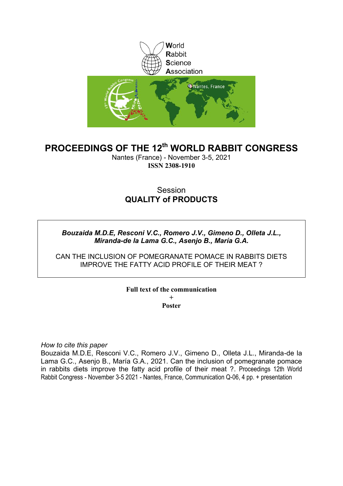

# **PROCEEDINGS OF THE 12th WORLD RABBIT CONGRESS**

Nantes (France) - November 3-5, 2021 **ISSN 2308-1910**

# Session **QUALITY of PRODUCTS**

## *Bouzaida M.D.E, Resconi V.C., Romero J.V., Gimeno D., Olleta J.L., Miranda-de la Lama G.C., Asenjo B., María G.A.*

CAN THE INCLUSION OF POMEGRANATE POMACE IN RABBITS DIETS IMPROVE THE FATTY ACID PROFILE OF THEIR MEAT ?

## **Full text of the communication + Poster**

*How to cite this paper*

Bouzaida M.D.E, Resconi V.C., Romero J.V., Gimeno D., Olleta J.L., Miranda-de la Lama G.C., Asenjo B., María G.A., 2021. Can the inclusion of pomegranate pomace in rabbits diets improve the fatty acid profile of their meat ?. Proceedings 12th World Rabbit Congress - November 3-5 2021 - Nantes, France, Communication Q-06, 4 pp. + presentation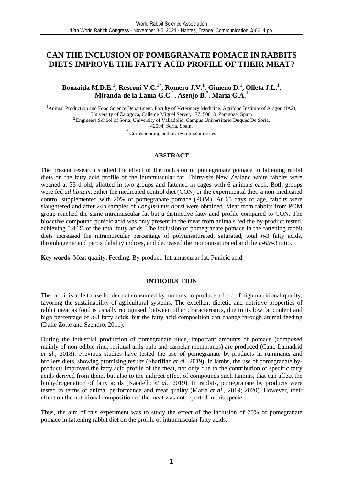## **CAN THE INCLUSION OF POMEGRANATE POMACE IN RABBITS DIETS IMPROVE THE FATTY ACID PROFILE OF THEIR MEAT?**

**Bouzaida M.D.E.<sup>1</sup> , Resconi V.C.1\*, Romero J.V.<sup>1</sup> , Gimeno D.<sup>1</sup> , Olleta J.L.<sup>1</sup> , Miranda-de la Lama G.C.<sup>1</sup> , Asenjo B.<sup>2</sup> , María G.A.<sup>1</sup>**

<sup>1</sup>Animal Production and Food Science Department, Faculty of Veterinary Medicine, Agrifood Institute of Aragón (IA2), University of Zaragoza, Calle de Miguel Servet, 177, 50013, Zaragoza, Spain <sup>2</sup> Engineers School of Soria, University of Valladolid, Campus Universitario Duques De Soria, 42004, Soria, Spain.

\* Corresponding author: resconi@unizar.es

### **ABSTRACT**

The present research studied the effect of the inclusion of pomegranate pomace in fattening rabbit diets on the fatty acid profile of the intramuscular fat. Thirty-six New Zealand white rabbits were weaned at 35 d old, allotted in two groups and fattened in cages with 6 animals each. Both groups were fed *ad libitum*, either the medicated control diet (CON) or the experimental diet: a non-medicated control supplemented with 20% of pomegranate pomace (POM). At 65 days of age, rabbits were slaughtered and after 24h samples of *Longissimus dorsi* were obtained. Meat from rabbits from POM group reached the same intramuscular fat but a distinctive fatty acid profile compared to CON. The bioactive compound punicic acid was only present in the meat from animals fed the by-product tested, achieving 5.40% of the total fatty acids. The inclusion of pomegranate pomace in the fattening rabbit diets increased the intramuscular percentage of polyunsaturated, saturated, total *n-*3 fatty acids, thrombogenic and peroxidability indices, and decreased the monounsaturated and the *n-*6/*n-*3 ratio.

**Key words**: Meat quality, Feeding, By-product, Intramuscular fat, Punicic acid.

#### **INTRODUCTION**

The rabbit is able to use fodder not consumed by humans, to produce a food of high nutritional quality, favoring the sustainability of agricultural systems. The excellent dietetic and nutritive properties of rabbit meat as food is usually recognised, between other characteristics, due to its low fat content and high percentage of *n*-3 fatty acids, but the fatty acid composition can change through animal feeding (Dalle Zotte and Szendro, 2011).

During the industrial production of pomegranate juice, important amounts of pomace (composed mainly of non-edible rind, residual arils pulp and carpelar membranes) are produced (Cano-Lamadrid *et al.,* 2018). Previous studies have tested the use of pomegranate by-products in ruminants and broilers diets, showing promising results (Sharifian *et al*., 2019). In lambs, the use of pomegranate byproducts improved the fatty acid profile of the meat, not only due to the contribution of specific fatty acids derived from them, but also to the indirect effect of compounds such tannins, that can affect the biohydrogenation of fatty acids (Natalello *et al.,* 2019). In rabbits, pomegranate by products were tested in terms of animal performance and meat quality (María *et al.,* 2019; 2020). However, their effect on the nutritional composition of the meat was not reported in this specie.

Thus, the aim of this experiment was to study the effect of the inclusion of 20% of pomegranate pomace in fattening rabbit diet on the profile of intramuscular fatty acids.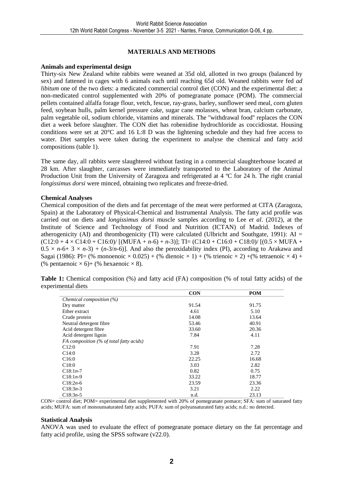## **MATERIALS AND METHODS**

#### **Animals and experimental design**

Thirty-six New Zealand white rabbits were weaned at 35d old, allotted in two groups (balanced by sex) and fattened in cages with 6 animals each until reaching 65d old. Weaned rabbits were fed *ad libitum* one of the two diets: a medicated commercial control diet (CON) and the experimental diet: a non-medicated control supplemented with 20% of pomegranate pomace (POM). The commercial pellets contained alfalfa forage flour, vetch, fescue, ray-grass, barley, sunflower seed meal, corn gluten feed, soybean hulls, palm kernel pressure cake, sugar cane molasses, wheat bran, calcium carbonate, palm vegetable oil, sodium chloride, vitamins and minerals. The ''withdrawal food'' replaces the CON diet a week before slaughter. The CON diet has robenidine hydrochloride as coccidiostat. Housing conditions were set at 20°C and 16 L:8 D was the lightening schedule and they had free access to water. Diet samples were taken during the experiment to analyse the chemical and fatty acid compositions (table 1).

The same day, all rabbits were slaughtered without fasting in a commercial slaughterhouse located at 28 km. After slaughter, carcasses were immediately transported to the Laboratory of the Animal Production Unit from the University of Zaragoza and refrigerated at 4 °C for 24 h. The right cranial *longissimus dorsi* were minced, obtaining two replicates and freeze-dried.

### **Chemical Analyses**

Chemical composition of the diets and fat percentage of the meat were performed at CITA (Zaragoza, Spain) at the Laboratory of Physical-Chemical and Instrumental Analysis. The fatty acid profile was carried out on diets and *longissimus dorsi* muscle samples according to Lee *et al*. (2012), at the Institute of Science and Technology of Food and Nutrition (ICTAN) of Madrid. Indexes of atherogenicity (AI) and thrombogenicity (TI) were calculated (Ulbricht and Southgate, 1991):  $AI =$  $(C12:0 + 4 \times C14:0 + C16:0) / [(MUFA + n-6) + n-3]$ ; TI=  $(C14:0 + C16:0 + C18:0) / [(0.5 \times MUFA + n-6] + n-3]$  $0.5 \times n$ -6+ 3  $\times n$ -3) + (*n*-3/*n*-6)]. And also the peroxidability index (PI), according to Arakawa and Sagai (1986): PI= (% monoenoic  $\times 0.025$ ) + (% dienoic  $\times 1$ ) + (% trienoic  $\times 2$ ) + (% tetraenoic  $\times 4$ ) + (% pentaenoic  $\times$  6)+ (% hexaenoic  $\times$  8).

| Table 1: Chemical composition (%) and fatty acid (FA) composition (% of total fatty acids) of the |  |  |  |  |  |  |
|---------------------------------------------------------------------------------------------------|--|--|--|--|--|--|
| experimental diets                                                                                |  |  |  |  |  |  |

|                                         | <b>CON</b> | <b>POM</b> |
|-----------------------------------------|------------|------------|
| Chemical composition (%)                |            |            |
| Dry matter                              | 91.54      | 91.75      |
| Ether extract                           | 4.61       | 5.10       |
| Crude protein                           | 14.08      | 13.64      |
| Neutral detergent fibre                 | 53.46      | 40.91      |
| Acid detergent fibre                    | 33.60      | 20.36      |
| Acid detergent lignin                   | 7.84       | 4.11       |
| FA composition (% of total fatty acids) |            |            |
| C12:0                                   | 7.91       | 7.28       |
| C14:0                                   | 3.28       | 2.72       |
| C16:0                                   | 22.25      | 16.68      |
| C18:0                                   | 3.03       | 2.82       |
| $C18:1n-7$                              | 0.82       | 0.75       |
| $C18:1n-9$                              | 33.22      | 18.77      |
| $C18:2n-6$                              | 23.59      | 23.36      |
| $C18:3n-3$                              | 3.21       | 2.22       |
| $C18:3n-5$                              | n.d.       | 23.13      |

CON= control diet; POM= experimental diet supplemented with 20% of pomegranate pomace; SFA: sum of saturated fatty acids; MUFA: sum of monounsaturated fatty acids; PUFA: sum of polyunsaturated fatty acids; n.d.: no detected.

#### **Statistical Analysis**

ANOVA was used to evaluate the effect of pomegranate pomace dietary on the fat percentage and fatty acid profile, using the SPSS software (v22.0).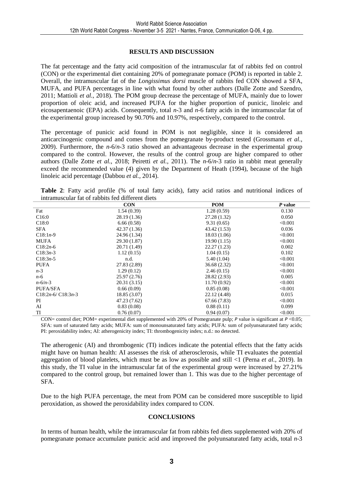## **RESULTS AND DISCUSSION**

The fat percentage and the fatty acid composition of the intramuscular fat of rabbits fed on control (CON) or the experimental diet containing 20% of pomegranate pomace (POM) is reported in table 2. Overall, the intramuscular fat of the *Longissimus dorsi* muscle of rabbits fed CON showed a SFA, MUFA, and PUFA percentages in line with what found by other authors (Dalle Zotte and Szendro, 2011; Mattioli *et al.,* 2018). The POM group decrease the percentage of MUFA, mainly due to lower proportion of oleic acid, and increased PUFA for the higher proportion of punicic, linoleic and eicosapentaenoic (EPA) acids. Consequently, total *n*-3 and *n-*6 fatty acids in the intramuscular fat of the experimental group increased by 90.70% and 10.97%, respectively, compared to the control.

The percentage of punicic acid found in POM is not negligible, since it is considered an anticarcinogenic compound and comes from the pomegranate by-product tested (Grossmann *et al.,* 2009). Furthermore, the *n*-6/*n*-3 ratio showed an advantageous decrease in the experimental group compared to the control. However, the results of the control group are higher compared to other authors (Dalle Zotte *et al.*, 2018; Peiretti *et al.*, 2011). The *n-*6/*n-*3 ratio in rabbit meat generally exceed the recommended value (4) given by the Department of Heath (1994), because of the high linoleic acid percentage (Dabbou *et al.,* 2014).

**Table 2**: Fatty acid profile (% of total fatty acids), fatty acid ratios and nutritional indices of intramuscular fat of rabbits fed different diets

|                     | <b>CON</b>   | <b>POM</b>   | $P$ value |
|---------------------|--------------|--------------|-----------|
| Fat                 | 1.54(0.39)   | 1.28(0.59)   | 0.130     |
| C16:0               | 28.19 (1.36) | 27.28 (1.32) | 0.050     |
| C18:0               | 6.66(0.58)   | 9.31(0.65)   | < 0.001   |
| <b>SFA</b>          | 42.37(1.36)  | 43.42 (1.53) | 0.036     |
| $C18:1n-9$          | 24.96 (1.34) | 18.03(1.06)  | < 0.001   |
| MUFA                | 29.30 (1.87) | 19.90(1.15)  | < 0.001   |
| $C18:2n-6$          | 20.71 (1.49) | 22.27(1.23)  | 0.002     |
| $C18:3n-3$          | 1.12(0.15)   | 1.04(0.15)   | 0.102     |
| $C18:3n-5$          | n.d.         | 5.40(1.04)   | < 0.001   |
| <b>PUFA</b>         | 27.83 (2.89) | 36.68 (2.32) | < 0.001   |
| $n-3$               | 1.29(0.12)   | 2.46(0.15)   | < 0.001   |
| $n-6$               | 25.97(2.76)  | 28.82 (2.93) | 0.005     |
| $n - 6/n - 3$       | 20.31(3.15)  | 11.70(0.92)  | < 0.001   |
| <b>PUFA/SFA</b>     | 0.66(0.09)   | 0.85(0.08)   | < 0.001   |
| $C18:2n-6/C18:3n-3$ | 18.85 (3.07) | 22.12 (4.48) | 0.015     |
| PI                  | 47.23 (7.62) | 67.66 (7.83) | < 0.001   |
| AI                  | 0.83(0.08)   | 0.88(0.11)   | 0.099     |
| TI                  | 0.76(0.07)   | 0.94(0.07)   | < 0.001   |

CON= control diet; POM= experimental diet supplemented with 20% of Pomegranate pulp; *P* value is significant at *P* <0.05; SFA: sum of saturated fatty acids; MUFA: sum of monounsaturated fatty acids; PUFA: sum of polyunsaturated fatty acids; PI: peroxidability index; AI: atherogenicity index; TI: thrombogenicity index; n.d.: no detected.

The atherogenic (AI) and thrombogenic (TI) indices indicate the potential effects that the fatty acids might have on human health: AI assesses the risk of atherosclerosis, while TI evaluates the potential aggregation of blood platelets, which must be as low as possible and still <1 (Perna *et al.,* 2019). In this study, the TI value in the intramuscular fat of the experimental group were increased by 27.21% compared to the control group, but remained lower than 1. This was due to the higher percentage of SFA.

Due to the high PUFA percentage, the meat from POM can be considered more susceptible to lipid peroxidation, as showed the peroxidability index compared to CON.

### **CONCLUSIONS**

In terms of human health, while the intramuscular fat from rabbits fed diets supplemented with 20% of pomegranate pomace accumulate punicic acid and improved the polyunsaturated fatty acids, total *n*-3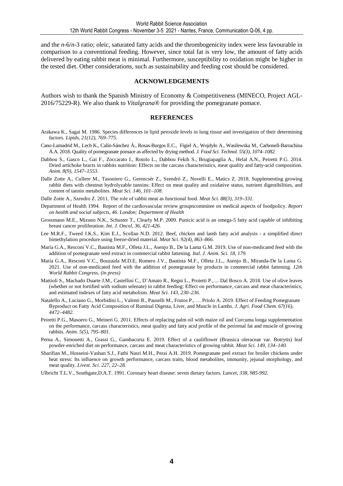and the *n*-6/*n*-3 ratio; oleic, saturated fatty acids and the thrombogenicity index were less favourable in comparison to a conventional feeding. However, since total fat is very low, the amount of fatty acids delivered by eating rabbit meat is minimal. Furthermore, susceptibility to oxidation might be higher in the tested diet. Other considerations, such as sustainability and feeding cost should be considered.

#### **ACKNOWLEDGEMENTS**

Authors wish to thank the Spanish Ministry of Economy & Competitiveness (MINECO, Project AGL-2016/75229-R). We also thank to *Vitalgrana*® for providing the pomegranate pomace.

#### **REFERENCES**

- Arakawa K., Sagai M. 1986. Species differences in lipid peroxide levels in lung tissue and investigation of their determining factors. *Lipids, 21(12), 769–775*.
- Cano-Lamadrid M., Lech K., Calín-Sánchez Á., Rosas-Burgos E.C., Figiel A., Wojdyło A., Wasilewska M., Carbonell-Barrachina Á.A. 2018. Quality of pomegranate pomace as affected by drying method. *J. Food Sci. Technol. 55(3), 1074–1082.*
- Dabbou S., Gasco L., Gai F., Zoccarato I., Rotolo L., Dabbou Fekih S., Brugiapaglia A., Helal A.N., Peiretti P.G. 2014. Dried artichoke bracts in rabbits nutrition: Effects on the carcass characteristics, meat quality and fatty-acid composition. *Anim. 8(9), 1547–1553.*
- Dalle Zotte A., Cullere M., Tasoniero G., Gerencsér Z., Szendrő Z., Novelli E., Matics Z. 2018. Supplementing growing rabbit diets with chestnut hydrolyzable tannins: Effect on meat quality and oxidative status, nutrient digestibilities, and content of tannin metabolites. *Meat Sci. 146, 101–108.*
- Dalle Zotte A., Szendro Z. 2011. The role of rabbit meat as functional food. *Meat Sci. 88(3), 319–331.*
- Department of Health 1994. Report of the cardiovascular review groupncommitee on medical aspects of foodpolicy. *Report on health and social subjects, 46. London: Department of Health*
- Grossmann M.E., Mizuno N.K., Schuster T., Clearly M.P. 2009. Punicic acid is an omega-5 fatty acid capable of inhibiting breast cancer proliferation. *Int. J. Oncol*, *36, 421-426.*
- Lee M.R.F., Tweed J.K.S., Kim E.J., Scollan N.D. 2012. Beef, chicken and lamb fatty acid analysis a simplified direct bimethylation procedure using freeze-dried material. *Meat Sci*. *92(4), 863–866.*
- María G.A., Resconi V.C., Bautista M.F., Olleta J.L., Asenjo B., De la Lama G.M. 2019. Use of non-medicated feed with the addition of pomegranate seed extract in commercial rabbit fattening*. Ital. J. Anim. Sci. 18, 179*.
- María G.A., Resconi V.C., Bouzaida M.D.E, Romero J.V., Bautista M.F., Olleta J.L., Asenjo B., Miranda-De la Lama G. 2021. Use of non-medicated feed with the addition of pomegranate by products in commercial rabbit fattening. *12th World Rabbit Congress. (in press)*
- Mattioli S., Machado Duarte J.M., Castellini C., D'Amato R., Regni L., Proietti P., ... Dal Bosco A. 2018. Use of olive leaves (whether or not fortified with sodium selenate) in rabbit feeding: Effect on performance, carcass and meat characteristics, and estimated indexes of fatty acid metabolism. *Meat Sci. 143, 230–236.*
- Natalello A., Luciano G., Morbidini L., Valenti B., Pauselli M., Frutos P., … Priolo A. 2019. Effect of Feeding Pomegranate Byproduct on Fatty Acid Composition of Ruminal Digesta, Liver, and Muscle in Lambs. *J. Agri. Food Chem. 67(16), 4472–4482.*
- Peiretti P.G., Masoero G., Meineri G. 2011. Effects of replacing palm oil with maize oil and Curcuma longa supplementation on the performance, carcass characteristics, meat quality and fatty acid profile of the perirenal fat and muscle of growing rabbits. *Anim. 5(5), 795–801.*
- Perna A., Simonetti A., Grassi G., Gambacorta E. 2019. Effect of a cauliflower (Brassica oleraceae var. Botrytis) leaf powder-enriched diet on performance, carcass and meat characteristics of growing rabbit. *Meat Sci. 149, 134–140.*
- Sharifian M., Hosseini-Vashan S.J., Fathi Nasri M.H., Perai A.H. 2019. Pomegranate peel extract for broiler chickens under heat stress: Its influence on growth performance, carcass traits, blood metabolites, immunity, jejunal morphology, and meat quality. *Livest. Sci*. *227, 22–28.*

Ulbricht T.L.V., Southgate,D.A.T. 1991. Coronary heart disease: seven dietary factors. *Lancet, 338, 985-992.*